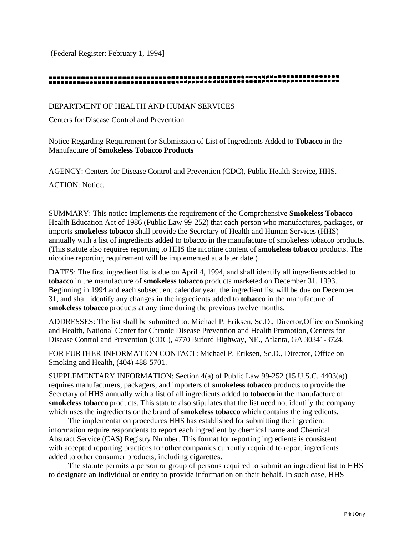(Federal Register: February 1, 1994]

#### 

DEPARTMENT OF HEALTH AND HUMAN SERVICES

Centers for Disease Control and Prevention

Notice Regarding Requirement for Submission of List of Ingredients Added to **Tobacco** in the Manufacture of **Smokeless Tobacco Products** 

AGENCY: Centers for Disease Control and Prevention (CDC), Public Health Service, HHS.

ACTION: Notice.

SUMMARY: This notice implements the requirement of the Comprehensive **Smokeless Tobacco**  Health Education Act of 1986 (Public Law 99-252) that each person who manufactures, packages, or imports **smokeless tobacco** shall provide the Secretary of Health and Human Services (HHS) annually with a list of ingredients added to tobacco in the manufacture of smokeless tobacco products. (This statute also requires reporting to HHS the nicotine content of **smokeless tobacco** products. The nicotine reporting requirement will be implemented at a later date.)

DATES: The first ingredient list is due on April 4, 1994, and shall identify all ingredients added to **tobacco** in the manufacture of **smokeless tobacco** products marketed on December 31, 1993. Beginning in 1994 and each subsequent calendar year, the ingredient list will be due on December 31, and shall identify any changes in the ingredients added to **tobacco** in the manufacture of **smokeless tobacco** products at any time during the previous twelve months.

ADDRESSES: The list shall be submitted to: Michael P. Eriksen, Sc.D., Director,Office on Smoking and Health, National Center for Chronic Disease Prevention and Health Promotion, Centers for Disease Control and Prevention (CDC), 4770 Buford Highway, NE., Atlanta, GA 30341-3724.

FOR FURTHER INFORMATION CONTACT: Michael P. Eriksen, Sc.D., Director, Office on Smoking and Health, (404) 488-5701.

SUPPLEMENTARY INFORMATION: Section 4(a) of Public Law 99-252 (15 U.S.C. 4403(a)) requires manufacturers, packagers, and importers of **smokeless tobacco** products to provide the Secretary of HHS annually with a list of all ingredients added to **tobacco** in the manufacture of **smokeless tobacco** products. This statute also stipulates that the list need not identify the company which uses the ingredients or the brand of **smokeless tobacco** which contains the ingredients.

The implementation procedures HHS has established for submitting the ingredient information require respondents to report each ingredient by chemical name and Chemical Abstract Service (CAS) Registry Number. This format for reporting ingredients is consistent with accepted reporting practices for other companies currently required to report ingredients added to other consumer products, including cigarettes.

The statute permits a person or group of persons required to submit an ingredient list to HHS to designate an individual or entity to provide information on their behalf. In such case, HHS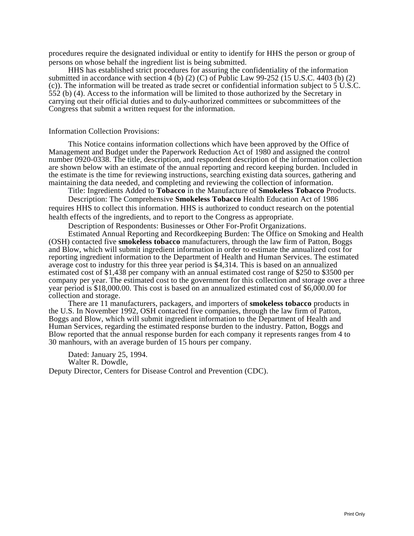procedures require the designated individual or entity to identify for HHS the person or group of persons on whose behalf the ingredient list is being submitted.

HHS has established strict procedures for assuring the confidentiality of the information submitted in accordance with section 4 (b) (2) (C) of Public Law 99-252 (15 U.S.C. 4403 (b) (2) (c)). The information will be treated as trade secret or confidential information subject to 5 U.S.C. 552 (b) (4). Access to the information will be limited to those authorized by the Secretary in carrying out their official duties and to duly-authorized committees or subcommittees of the Congress that submit a written request for the information.

#### Information Collection Provisions:

This Notice contains information collections which have been approved by the Office of Management and Budget under the Paperwork Reduction Act of 1980 and assigned the control number 0920-0338. The title, description, and respondent description of the information collection are shown below with an estimate of the annual reporting and record keeping burden. Included in the estimate is the time for reviewing instructions, searching existing data sources, gathering and maintaining the data needed, and completing and reviewing the collection of information.

Title: Ingredients Added to **Tobacco** in the Manufacture of **Smokeless Tobacco** Products.

Description: The Comprehensive **Smokeless Tobacco** Health Education Act of 1986 requires HHS to collect this information. HHS is authorized to conduct research on the potential health effects of the ingredients, and to report to the Congress as appropriate.

Description of Respondents: Businesses or Other For-Profit Organizations.

Estimated Annual Reporting and Recordkeeping Burden: The Office on Smoking and Health (OSH) contacted five **smokeless tobacco** manufacturers, through the law firm of Patton, Boggs and Blow, which will submit ingredient information in order to estimate the annualized cost for reporting ingredient information to the Department of Health and Human Services. The estimated average cost to industry for this three year period is \$4,314. This is based on an annualized estimated cost of \$1,438 per company with an annual estimated cost range of \$250 to \$3500 per company per year. The estimated cost to the government for this collection and storage over a three year period is \$18,000.00. This cost is based on an annualized estimated cost of \$6,000.00 for collection and storage.

There are 11 manufacturers, packagers, and importers of **smokeless tobacco** products in the U.S. In November 1992, OSH contacted five companies, through the law firm of Patton, Boggs and Blow, which will submit ingredient information to the Department of Health and Human Services, regarding the estimated response burden to the industry. Patton, Boggs and Blow reported that the annual response burden for each company it represents ranges from 4 to 30 manhours, with an average burden of 15 hours per company.

Dated: January 25, 1994. Walter R. Dowdle, Deputy Director, Centers for Disease Control and Prevention (CDC).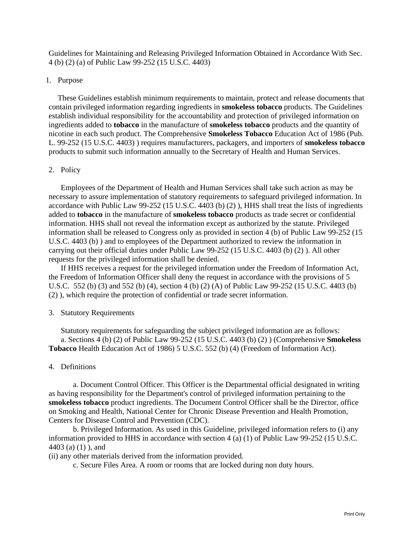Guidelines for Maintaining and Releasing Privileged Information Obtained in Accordance With Sec. 4 (b) (2) (a) of Public Law 99-252 (15 U.S.C. 4403)

## 1. Purpose

These Guidelines establish minimum requirements to maintain, protect and release documents that contain privileged information regarding ingredients in **smokeless tobacco** products. The Guidelines establish individual responsibility for the accountability and protection of privileged information on ingredients added to **tobacco** in the manufacture of **smokeless tobacco** products and the quantity of nicotine in each such product. The Comprehensive **Smokeless Tobacco** Education Act of 1986 (Pub. L. 99-252 (15 U.S.C. 4403) ) requires manufacturers, packagers, and importers of **smokeless tobacco** products to submit such information annually to the Secretary of Health and Human Services.

# 2. Policy

Employees of the Department of Health and Human Services shall take such action as may be necessary to assure implementation of statutory requirements to safeguard privileged information. In accordance with Public Law 99-252 (15 U.S.C. 4403 (b) (2) ), HHS shall treat the lists of ingredients added to **tobacco** in the manufacture of **smokeless tobacco** products as trade secret or confidential information. HHS shall not reveal the information except as authorized by the statute. Privileged information shall be released to Congress only as provided in section 4 (b) of Public Law 99-252 (15 U.S.C. 4403 (b) ) and to employees of the Department authorized to review the information in carrying out their official duties under Public Law 99-252 (15 U.S.C. 4403 (b) (2) ). All other requests for the privileged information shall be denied.

If HHS receives a request for the privileged information under the Freedom of Information Act, the Freedom of Information Officer shall deny the request in accordance with the provisions of 5 U.S.C. 552 (b) (3) and 552 (b) (4), section 4 (b) (2) (A) of Public Law 99-252 (15 U.S.C. 4403 (b) (2) ), which require the protection of confidential or trade secret information.

## 3. Statutory Requirements

Statutory requirements for safeguarding the subject privileged information are as follows: a. Sections 4 (b) (2) of Public Law 99-252 (15 U.S.C. 4403 (b) (2) ) (Comprehensive **Smokeless Tobacco** Health Education Act of 1986) 5 U.S.C. 552 (b) (4) (Freedom of Information Act).

# 4. Definitions

a. Document Control Officer. This Officer is the Departmental official designated in writing as having responsibility for the Department's control of privileged information pertaining to the **smokeless tobacco** product ingredients. The Document Control Officer shall be the Director, office on Smoking and Health, National Center for Chronic Disease Prevention and Health Promotion, Centers for Disease Control and Prevention (CDC).

b. Privileged Information. As used in this Guideline, privileged information refers to (i) any information provided to HHS in accordance with section 4 (a) (1) of Public Law 99-252 (15 U.S.C. 4403 (a) (1) ), and

(ii) any other materials derived from the information provided.

c. Secure Files Area. A room or rooms that are locked during non duty hours.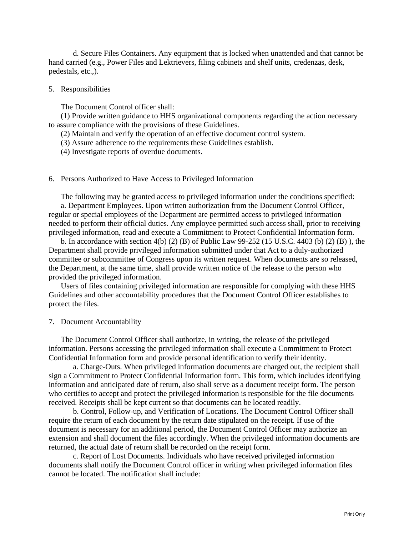d. Secure Files Containers. Any equipment that is locked when unattended and that cannot be hand carried (e.g., Power Files and Lektrievers, filing cabinets and shelf units, credenzas, desk, pedestals, etc.,).

#### 5. Responsibilities

The Document Control officer shall:

(1) Provide written guidance to HHS organizational components regarding the action necessary to assure compliance with the provisions of these Guidelines.

(2) Maintain and verify the operation of an effective document control system.

(3) Assure adherence to the requirements these Guidelines establish.

(4) Investigate reports of overdue documents.

## 6. Persons Authorized to Have Access to Privileged Information

The following may be granted access to privileged information under the conditions specified:

a. Department Employees. Upon written authorization from the Document Control Officer, regular or special employees of the Department are permitted access to privileged information needed to perform their official duties. Any employee permitted such access shall, prior to receiving privileged information, read and execute a Commitment to Protect Confidential Information form.

b. In accordance with section 4(b) (2) (B) of Public Law 99-252 (15 U.S.C. 4403 (b) (2) (B) ), the Department shall provide privileged information submitted under that Act to a duly-authorized committee or subcommittee of Congress upon its written request. When documents are so released, the Department, at the same time, shall provide written notice of the release to the person who provided the privileged information.

Users of files containing privileged information are responsible for complying with these HHS Guidelines and other accountability procedures that the Document Control Officer establishes to protect the files.

#### 7. Document Accountability

The Document Control Officer shall authorize, in writing, the release of the privileged information. Persons accessing the privileged information shall execute a Commitment to Protect Confidential Information form and provide personal identification to verify their identity.

a. Charge-Outs. When privileged information documents are charged out, the recipient shall sign a Commitment to Protect Confidential Information form. This form, which includes identifying information and anticipated date of return, also shall serve as a document receipt form. The person who certifies to accept and protect the privileged information is responsible for the file documents received. Receipts shall be kept current so that documents can be located readily.

b. Control, Follow-up, and Verification of Locations. The Document Control Officer shall require the return of each document by the return date stipulated on the receipt. If use of the document is necessary for an additional period, the Document Control Officer may authorize an extension and shall document the files accordingly. When the privileged information documents are returned, the actual date of return shall be recorded on the receipt form.

c. Report of Lost Documents. Individuals who have received privileged information documents shall notify the Document Control officer in writing when privileged information files cannot be located. The notification shall include: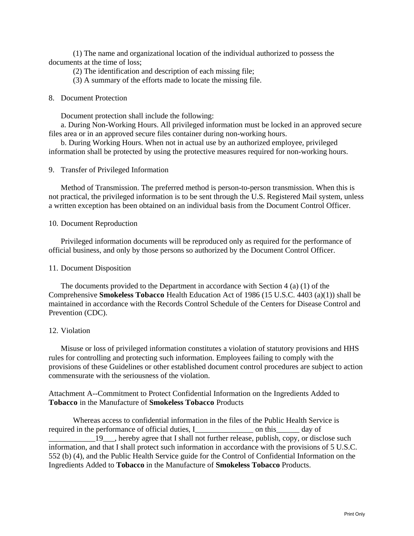(1) The name and organizational location of the individual authorized to possess the documents at the time of loss;

- (2) The identification and description of each missing file;
- (3) A summary of the efforts made to locate the missing file.

#### 8. Document Protection

Document protection shall include the following:

a. During Non-Working Hours. All privileged information must be locked in an approved secure files area or in an approved secure files container during non-working hours.

b. During Working Hours. When not in actual use by an authorized employee, privileged information shall be protected by using the protective measures required for non-working hours.

9. Transfer of Privileged Information

Method of Transmission. The preferred method is person-to-person transmission. When this is not practical, the privileged information is to be sent through the U.S. Registered Mail system, unless a written exception has been obtained on an individual basis from the Document Control Officer.

## 10. Document Reproduction

Privileged information documents will be reproduced only as required for the performance of official business, and only by those persons so authorized by the Document Control Officer.

#### 11. Document Disposition

The documents provided to the Department in accordance with Section 4 (a) (1) of the Comprehensive **Smokeless Tobacco** Health Education Act of 1986 (15 U.S.C. 4403 (a)(1)) shall be maintained in accordance with the Records Control Schedule of the Centers for Disease Control and Prevention (CDC).

#### 12. Violation

Misuse or loss of privileged information constitutes a violation of statutory provisions and HHS rules for controlling and protecting such information. Employees failing to comply with the provisions of these Guidelines or other established document control procedures are subject to action commensurate with the seriousness of the violation.

Attachment A--Commitment to Protect Confidential Information on the Ingredients Added to **Tobacco** in the Manufacture of **Smokeless Tobacco** Products

Whereas access to confidential information in the files of the Public Health Service is required in the performance of official duties, I\_\_\_\_\_\_\_\_\_\_\_\_\_\_\_ on this\_\_\_\_\_\_ day of 19\_, hereby agree that I shall not further release, publish, copy, or disclose such information, and that I shall protect such information in accordance with the provisions of 5 U.S.C. 552 (b) (4), and the Public Health Service guide for the Control of Confidential Information on the Ingredients Added to **Tobacco** in the Manufacture of **Smokeless Tobacco** Products.